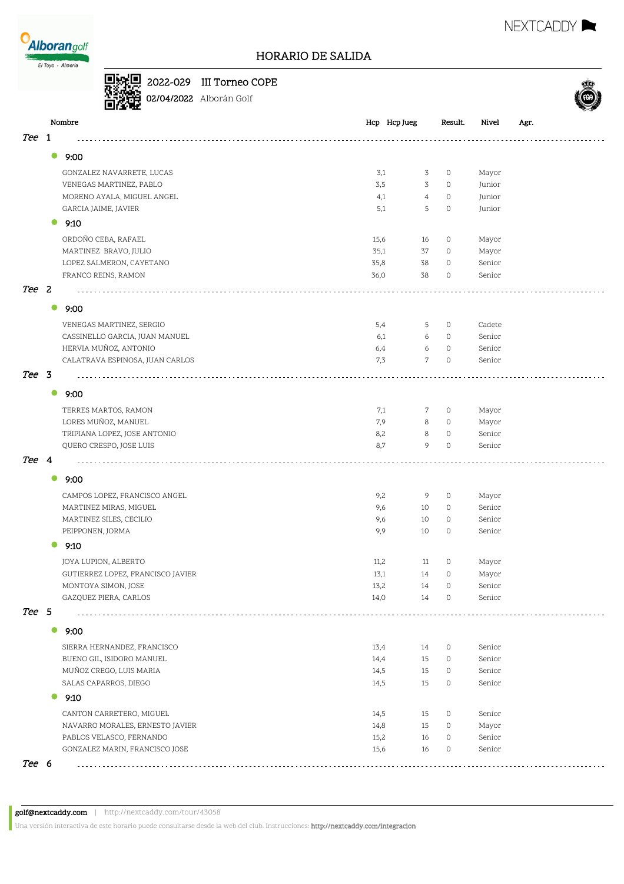

### HORARIO DE SALIDA

### 2022-029 III Torneo COPE



02/04/2022 Alborán Golf

|            |           | Nombre                            |      | Hcp Hcp Jueg        | Result. | Nivel  | Agr. |
|------------|-----------|-----------------------------------|------|---------------------|---------|--------|------|
| <i>Tee</i> | -1        |                                   |      |                     |         |        |      |
|            | $\bullet$ | 9:00                              |      |                     |         |        |      |
|            |           |                                   |      |                     |         |        |      |
|            |           | GONZALEZ NAVARRETE, LUCAS         | 3,1  | 3                   | $\circ$ | Mayor  |      |
|            |           | VENEGAS MARTINEZ, PABLO           | 3,5  | 3                   | $\circ$ | Junior |      |
|            |           | MORENO AYALA, MIGUEL ANGEL        | 4,1  | $\overline{4}$<br>5 | $\circ$ | Junior |      |
|            |           | GARCIA JAIME, JAVIER              | 5,1  |                     | $\circ$ | Junior |      |
|            | $\bullet$ | 9:10                              |      |                     |         |        |      |
|            |           | ORDOÑO CEBA, RAFAEL               | 15,6 | 16                  | $\circ$ | Mayor  |      |
|            |           | MARTINEZ BRAVO, JULIO             | 35,1 | 37                  | $\circ$ | Mayor  |      |
|            |           | LOPEZ SALMERON, CAYETANO          | 35,8 | 38                  | $\circ$ | Senior |      |
|            |           | FRANCO REINS, RAMON               | 36,0 | 38                  | $\circ$ | Senior |      |
| Tee 2      |           |                                   |      |                     |         |        |      |
|            | $\bullet$ | 9:00                              |      |                     |         |        |      |
|            |           | VENEGAS MARTINEZ, SERGIO          | 5,4  | 5                   | $\circ$ | Cadete |      |
|            |           | CASSINELLO GARCIA, JUAN MANUEL    | 6,1  | 6                   | $\circ$ | Senior |      |
|            |           | HERVIA MUÑOZ, ANTONIO             | 6,4  | 6                   | $\circ$ | Senior |      |
|            |           | CALATRAVA ESPINOSA, JUAN CARLOS   | 7,3  | $\mathcal{L}$       | $\circ$ | Senior |      |
| Tee 3      |           |                                   |      |                     |         |        |      |
|            | $\bullet$ | 9:00                              |      |                     |         |        |      |
|            |           | TERRES MARTOS, RAMON              | 7,1  | 7                   | $\circ$ | Mayor  |      |
|            |           | LORES MUÑOZ, MANUEL               | 7,9  | 8                   | $\circ$ | Mayor  |      |
|            |           | TRIPIANA LOPEZ, JOSE ANTONIO      | 8,2  | 8                   | $\circ$ | Senior |      |
|            |           | QUERO CRESPO, JOSE LUIS           | 8,7  | 9                   | $\circ$ | Senior |      |
| Tee 4      |           |                                   |      |                     |         |        |      |
|            |           |                                   |      |                     |         |        |      |
|            | $\bullet$ | 9:00                              |      |                     |         |        |      |
|            |           | CAMPOS LOPEZ, FRANCISCO ANGEL     | 9,2  | 9                   | $\circ$ | Mayor  |      |
|            |           | MARTINEZ MIRAS, MIGUEL            | 9,6  | 10                  | $\circ$ | Senior |      |
|            |           | MARTINEZ SILES, CECILIO           | 9,6  | 10                  | $\circ$ | Senior |      |
|            |           | PEIPPONEN, JORMA                  | 9,9  | 10                  | $\circ$ | Senior |      |
|            |           | 9:10                              |      |                     |         |        |      |
|            |           | JOYA LUPION, ALBERTO              | 11,2 | 11                  | $\circ$ | Mayor  |      |
|            |           | GUTIERREZ LOPEZ, FRANCISCO JAVIER | 13,1 | 14                  | $\circ$ | Mayor  |      |
|            |           | MONTOYA SIMON, JOSE               | 13,2 | 14                  | $\circ$ | Senior |      |
|            |           | GAZQUEZ PIERA, CARLOS             | 14,0 | 14                  | 0       | Senior |      |
| Tee 5      |           |                                   |      |                     |         |        |      |
|            | $\bullet$ | 9:00                              |      |                     |         |        |      |
|            |           | SIERRA HERNANDEZ, FRANCISCO       | 13,4 | 14                  | $\circ$ | Senior |      |
|            |           | BUENO GIL, ISIDORO MANUEL         | 14,4 | 15                  | $\circ$ | Senior |      |
|            |           | MUÑOZ CREGO, LUIS MARIA           | 14,5 | 15                  | 0       | Senior |      |
|            |           | SALAS CAPARROS, DIEGO             | 14,5 | 15                  | 0       | Senior |      |
|            | $\bullet$ | 9:10                              |      |                     |         |        |      |
|            |           | CANTON CARRETERO, MIGUEL          | 14,5 | 15                  | $\circ$ | Senior |      |
|            |           | NAVARRO MORALES, ERNESTO JAVIER   | 14,8 | 15                  | $\circ$ | Mayor  |      |
|            |           | PABLOS VELASCO, FERNANDO          | 15,2 | 16                  | $\circ$ | Senior |      |
|            |           | GONZALEZ MARIN, FRANCISCO JOSE    | 15,6 | 16                  | 0       | Senior |      |
| Tee 6      |           |                                   |      |                     |         |        |      |





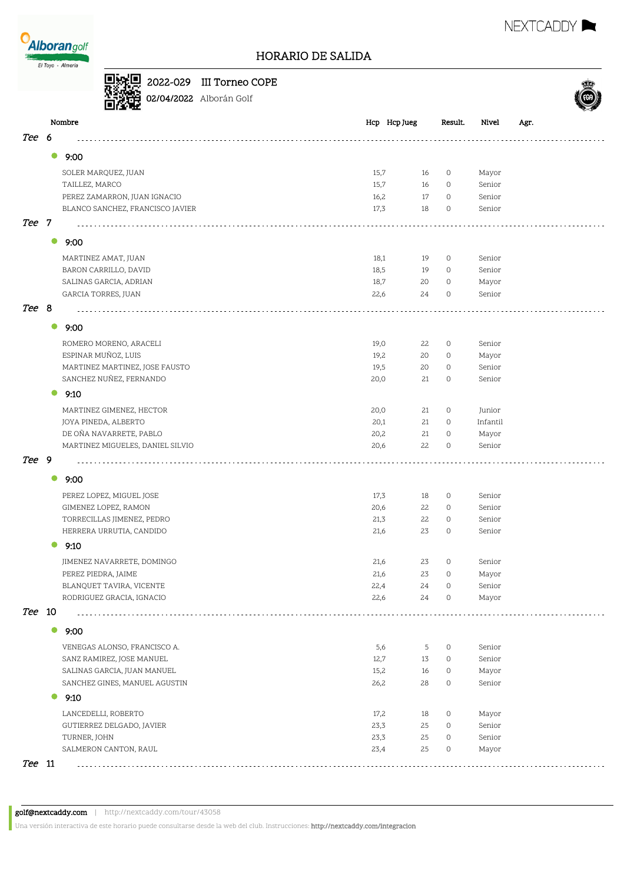



|  | $\Box$ $\mathbb{R}$ $\Box$ 2022-029 III Torneo ( |
|--|--------------------------------------------------|
|  | <sup>415</sup><br>回位电 02/04/2022 Alborán Golf    |

## 2022-029 III Torneo COPE



| <i>Tee</i><br>6<br>$\bullet$<br>9:00<br>15,7<br>0<br>Mayor<br>SOLER MARQUEZ, JUAN<br>16<br>TAILLEZ, MARCO<br>15,7<br>16<br>0<br>Senior<br>PEREZ ZAMARRON, JUAN IGNACIO<br>16,2<br>17<br>$\circ$<br>Senior<br>BLANCO SANCHEZ, FRANCISCO JAVIER<br>17,3<br>18<br>$\circ$<br>Senior<br>Tee<br>- 7<br>$\bullet$<br>9:00<br>MARTINEZ AMAT, JUAN<br>18,1<br>19<br>0<br>Senior<br>18,5<br>BARON CARRILLO, DAVID<br>19<br>0<br>Senior<br>18,7<br>SALINAS GARCIA, ADRIAN<br>20<br>0<br>Mayor<br>GARCIA TORRES, JUAN<br>22,6<br>24<br>$\circ$<br>Senior<br>Tee 8<br>$\bullet$<br>9:00<br>ROMERO MORENO, ARACELI<br>19,0<br>22<br>$\circ$<br>Senior<br>ESPINAR MUÑOZ, LUIS<br>19,2<br>20<br>Mayor<br>0<br>MARTINEZ MARTINEZ, JOSE FAUSTO<br>Senior<br>19,5<br>20<br>$\circ$<br>SANCHEZ NUÑEZ, FERNANDO<br>$\circ$<br>20,0<br>21<br>Senior<br>9:10<br>MARTINEZ GIMENEZ, HECTOR<br>20,0<br>21<br>$\circ$<br>Junior<br>JOYA PINEDA, ALBERTO<br>20,1<br>21<br>0<br>Infantil<br>DE OÑA NAVARRETE, PABLO<br>20,2<br>21<br>0<br>Mayor<br>MARTINEZ MIGUELES, DANIEL SILVIO<br>20,6<br>22<br>0<br>Senior<br>Tee 9<br>$\bullet$<br>9:00<br>17,3<br>$\circ$<br>PEREZ LOPEZ, MIGUEL JOSE<br>18<br>Senior<br>20,6<br>22<br>GIMENEZ LOPEZ, RAMON<br>$\circ$<br>Senior<br>21,3<br>22<br>$\circ$<br>Senior<br>TORRECILLAS JIMENEZ, PEDRO<br>HERRERA URRUTIA, CANDIDO<br>21,6<br>23<br>0<br>Senior<br>9:10<br>21,6<br>$\circ$<br>Senior<br>JIMENEZ NAVARRETE, DOMINGO<br>23<br>23<br>21,6<br>$\circ$<br>PEREZ PIEDRA, JAIME<br>Mayor<br>BLANQUET TAVIRA, VICENTE<br>22,4<br>24<br>0<br>Senior<br>RODRIGUEZ GRACIA, IGNACIO<br>$\circ$<br>22,6<br>24<br>Mayor<br>Tee 10<br>$\bullet$<br>9:00<br>VENEGAS ALONSO, FRANCISCO A.<br>5,6<br>5<br>0<br>Senior<br>12,7<br>SANZ RAMIREZ, JOSE MANUEL<br>13<br>0<br>Senior<br>15,2<br>16<br>0<br>Mayor<br>SALINAS GARCIA, JUAN MANUEL<br>26,2<br>28<br>0<br>Senior<br>SANCHEZ GINES, MANUEL AGUSTIN<br>9:10<br>LANCEDELLI, ROBERTO<br>17,2<br>18<br>Mayor<br>0<br>GUTIERREZ DELGADO, JAVIER<br>23,3<br>25<br>0<br>Senior<br>TURNER, JOHN<br>23,3<br>25<br>0<br>Senior<br>SALMERON CANTON, RAUL<br>23,4<br>25<br>0<br>Mayor<br>Tee 11 |  | Nombre | Hcp Hcp Jueg | Result. | Nivel | Agr. |
|------------------------------------------------------------------------------------------------------------------------------------------------------------------------------------------------------------------------------------------------------------------------------------------------------------------------------------------------------------------------------------------------------------------------------------------------------------------------------------------------------------------------------------------------------------------------------------------------------------------------------------------------------------------------------------------------------------------------------------------------------------------------------------------------------------------------------------------------------------------------------------------------------------------------------------------------------------------------------------------------------------------------------------------------------------------------------------------------------------------------------------------------------------------------------------------------------------------------------------------------------------------------------------------------------------------------------------------------------------------------------------------------------------------------------------------------------------------------------------------------------------------------------------------------------------------------------------------------------------------------------------------------------------------------------------------------------------------------------------------------------------------------------------------------------------------------------------------------------------------------------------------------------------------------------------------------------------------------------------------------------------------------------------------------------------------------------------------------------------------------------------------------|--|--------|--------------|---------|-------|------|
|                                                                                                                                                                                                                                                                                                                                                                                                                                                                                                                                                                                                                                                                                                                                                                                                                                                                                                                                                                                                                                                                                                                                                                                                                                                                                                                                                                                                                                                                                                                                                                                                                                                                                                                                                                                                                                                                                                                                                                                                                                                                                                                                                |  |        |              |         |       |      |
|                                                                                                                                                                                                                                                                                                                                                                                                                                                                                                                                                                                                                                                                                                                                                                                                                                                                                                                                                                                                                                                                                                                                                                                                                                                                                                                                                                                                                                                                                                                                                                                                                                                                                                                                                                                                                                                                                                                                                                                                                                                                                                                                                |  |        |              |         |       |      |
|                                                                                                                                                                                                                                                                                                                                                                                                                                                                                                                                                                                                                                                                                                                                                                                                                                                                                                                                                                                                                                                                                                                                                                                                                                                                                                                                                                                                                                                                                                                                                                                                                                                                                                                                                                                                                                                                                                                                                                                                                                                                                                                                                |  |        |              |         |       |      |
|                                                                                                                                                                                                                                                                                                                                                                                                                                                                                                                                                                                                                                                                                                                                                                                                                                                                                                                                                                                                                                                                                                                                                                                                                                                                                                                                                                                                                                                                                                                                                                                                                                                                                                                                                                                                                                                                                                                                                                                                                                                                                                                                                |  |        |              |         |       |      |
|                                                                                                                                                                                                                                                                                                                                                                                                                                                                                                                                                                                                                                                                                                                                                                                                                                                                                                                                                                                                                                                                                                                                                                                                                                                                                                                                                                                                                                                                                                                                                                                                                                                                                                                                                                                                                                                                                                                                                                                                                                                                                                                                                |  |        |              |         |       |      |
|                                                                                                                                                                                                                                                                                                                                                                                                                                                                                                                                                                                                                                                                                                                                                                                                                                                                                                                                                                                                                                                                                                                                                                                                                                                                                                                                                                                                                                                                                                                                                                                                                                                                                                                                                                                                                                                                                                                                                                                                                                                                                                                                                |  |        |              |         |       |      |
|                                                                                                                                                                                                                                                                                                                                                                                                                                                                                                                                                                                                                                                                                                                                                                                                                                                                                                                                                                                                                                                                                                                                                                                                                                                                                                                                                                                                                                                                                                                                                                                                                                                                                                                                                                                                                                                                                                                                                                                                                                                                                                                                                |  |        |              |         |       |      |
|                                                                                                                                                                                                                                                                                                                                                                                                                                                                                                                                                                                                                                                                                                                                                                                                                                                                                                                                                                                                                                                                                                                                                                                                                                                                                                                                                                                                                                                                                                                                                                                                                                                                                                                                                                                                                                                                                                                                                                                                                                                                                                                                                |  |        |              |         |       |      |
|                                                                                                                                                                                                                                                                                                                                                                                                                                                                                                                                                                                                                                                                                                                                                                                                                                                                                                                                                                                                                                                                                                                                                                                                                                                                                                                                                                                                                                                                                                                                                                                                                                                                                                                                                                                                                                                                                                                                                                                                                                                                                                                                                |  |        |              |         |       |      |
|                                                                                                                                                                                                                                                                                                                                                                                                                                                                                                                                                                                                                                                                                                                                                                                                                                                                                                                                                                                                                                                                                                                                                                                                                                                                                                                                                                                                                                                                                                                                                                                                                                                                                                                                                                                                                                                                                                                                                                                                                                                                                                                                                |  |        |              |         |       |      |
|                                                                                                                                                                                                                                                                                                                                                                                                                                                                                                                                                                                                                                                                                                                                                                                                                                                                                                                                                                                                                                                                                                                                                                                                                                                                                                                                                                                                                                                                                                                                                                                                                                                                                                                                                                                                                                                                                                                                                                                                                                                                                                                                                |  |        |              |         |       |      |
|                                                                                                                                                                                                                                                                                                                                                                                                                                                                                                                                                                                                                                                                                                                                                                                                                                                                                                                                                                                                                                                                                                                                                                                                                                                                                                                                                                                                                                                                                                                                                                                                                                                                                                                                                                                                                                                                                                                                                                                                                                                                                                                                                |  |        |              |         |       |      |
|                                                                                                                                                                                                                                                                                                                                                                                                                                                                                                                                                                                                                                                                                                                                                                                                                                                                                                                                                                                                                                                                                                                                                                                                                                                                                                                                                                                                                                                                                                                                                                                                                                                                                                                                                                                                                                                                                                                                                                                                                                                                                                                                                |  |        |              |         |       |      |
|                                                                                                                                                                                                                                                                                                                                                                                                                                                                                                                                                                                                                                                                                                                                                                                                                                                                                                                                                                                                                                                                                                                                                                                                                                                                                                                                                                                                                                                                                                                                                                                                                                                                                                                                                                                                                                                                                                                                                                                                                                                                                                                                                |  |        |              |         |       |      |
|                                                                                                                                                                                                                                                                                                                                                                                                                                                                                                                                                                                                                                                                                                                                                                                                                                                                                                                                                                                                                                                                                                                                                                                                                                                                                                                                                                                                                                                                                                                                                                                                                                                                                                                                                                                                                                                                                                                                                                                                                                                                                                                                                |  |        |              |         |       |      |
|                                                                                                                                                                                                                                                                                                                                                                                                                                                                                                                                                                                                                                                                                                                                                                                                                                                                                                                                                                                                                                                                                                                                                                                                                                                                                                                                                                                                                                                                                                                                                                                                                                                                                                                                                                                                                                                                                                                                                                                                                                                                                                                                                |  |        |              |         |       |      |
|                                                                                                                                                                                                                                                                                                                                                                                                                                                                                                                                                                                                                                                                                                                                                                                                                                                                                                                                                                                                                                                                                                                                                                                                                                                                                                                                                                                                                                                                                                                                                                                                                                                                                                                                                                                                                                                                                                                                                                                                                                                                                                                                                |  |        |              |         |       |      |
|                                                                                                                                                                                                                                                                                                                                                                                                                                                                                                                                                                                                                                                                                                                                                                                                                                                                                                                                                                                                                                                                                                                                                                                                                                                                                                                                                                                                                                                                                                                                                                                                                                                                                                                                                                                                                                                                                                                                                                                                                                                                                                                                                |  |        |              |         |       |      |
|                                                                                                                                                                                                                                                                                                                                                                                                                                                                                                                                                                                                                                                                                                                                                                                                                                                                                                                                                                                                                                                                                                                                                                                                                                                                                                                                                                                                                                                                                                                                                                                                                                                                                                                                                                                                                                                                                                                                                                                                                                                                                                                                                |  |        |              |         |       |      |
|                                                                                                                                                                                                                                                                                                                                                                                                                                                                                                                                                                                                                                                                                                                                                                                                                                                                                                                                                                                                                                                                                                                                                                                                                                                                                                                                                                                                                                                                                                                                                                                                                                                                                                                                                                                                                                                                                                                                                                                                                                                                                                                                                |  |        |              |         |       |      |
|                                                                                                                                                                                                                                                                                                                                                                                                                                                                                                                                                                                                                                                                                                                                                                                                                                                                                                                                                                                                                                                                                                                                                                                                                                                                                                                                                                                                                                                                                                                                                                                                                                                                                                                                                                                                                                                                                                                                                                                                                                                                                                                                                |  |        |              |         |       |      |
|                                                                                                                                                                                                                                                                                                                                                                                                                                                                                                                                                                                                                                                                                                                                                                                                                                                                                                                                                                                                                                                                                                                                                                                                                                                                                                                                                                                                                                                                                                                                                                                                                                                                                                                                                                                                                                                                                                                                                                                                                                                                                                                                                |  |        |              |         |       |      |
|                                                                                                                                                                                                                                                                                                                                                                                                                                                                                                                                                                                                                                                                                                                                                                                                                                                                                                                                                                                                                                                                                                                                                                                                                                                                                                                                                                                                                                                                                                                                                                                                                                                                                                                                                                                                                                                                                                                                                                                                                                                                                                                                                |  |        |              |         |       |      |
|                                                                                                                                                                                                                                                                                                                                                                                                                                                                                                                                                                                                                                                                                                                                                                                                                                                                                                                                                                                                                                                                                                                                                                                                                                                                                                                                                                                                                                                                                                                                                                                                                                                                                                                                                                                                                                                                                                                                                                                                                                                                                                                                                |  |        |              |         |       |      |
|                                                                                                                                                                                                                                                                                                                                                                                                                                                                                                                                                                                                                                                                                                                                                                                                                                                                                                                                                                                                                                                                                                                                                                                                                                                                                                                                                                                                                                                                                                                                                                                                                                                                                                                                                                                                                                                                                                                                                                                                                                                                                                                                                |  |        |              |         |       |      |
|                                                                                                                                                                                                                                                                                                                                                                                                                                                                                                                                                                                                                                                                                                                                                                                                                                                                                                                                                                                                                                                                                                                                                                                                                                                                                                                                                                                                                                                                                                                                                                                                                                                                                                                                                                                                                                                                                                                                                                                                                                                                                                                                                |  |        |              |         |       |      |
|                                                                                                                                                                                                                                                                                                                                                                                                                                                                                                                                                                                                                                                                                                                                                                                                                                                                                                                                                                                                                                                                                                                                                                                                                                                                                                                                                                                                                                                                                                                                                                                                                                                                                                                                                                                                                                                                                                                                                                                                                                                                                                                                                |  |        |              |         |       |      |
|                                                                                                                                                                                                                                                                                                                                                                                                                                                                                                                                                                                                                                                                                                                                                                                                                                                                                                                                                                                                                                                                                                                                                                                                                                                                                                                                                                                                                                                                                                                                                                                                                                                                                                                                                                                                                                                                                                                                                                                                                                                                                                                                                |  |        |              |         |       |      |
|                                                                                                                                                                                                                                                                                                                                                                                                                                                                                                                                                                                                                                                                                                                                                                                                                                                                                                                                                                                                                                                                                                                                                                                                                                                                                                                                                                                                                                                                                                                                                                                                                                                                                                                                                                                                                                                                                                                                                                                                                                                                                                                                                |  |        |              |         |       |      |
|                                                                                                                                                                                                                                                                                                                                                                                                                                                                                                                                                                                                                                                                                                                                                                                                                                                                                                                                                                                                                                                                                                                                                                                                                                                                                                                                                                                                                                                                                                                                                                                                                                                                                                                                                                                                                                                                                                                                                                                                                                                                                                                                                |  |        |              |         |       |      |
|                                                                                                                                                                                                                                                                                                                                                                                                                                                                                                                                                                                                                                                                                                                                                                                                                                                                                                                                                                                                                                                                                                                                                                                                                                                                                                                                                                                                                                                                                                                                                                                                                                                                                                                                                                                                                                                                                                                                                                                                                                                                                                                                                |  |        |              |         |       |      |
|                                                                                                                                                                                                                                                                                                                                                                                                                                                                                                                                                                                                                                                                                                                                                                                                                                                                                                                                                                                                                                                                                                                                                                                                                                                                                                                                                                                                                                                                                                                                                                                                                                                                                                                                                                                                                                                                                                                                                                                                                                                                                                                                                |  |        |              |         |       |      |
|                                                                                                                                                                                                                                                                                                                                                                                                                                                                                                                                                                                                                                                                                                                                                                                                                                                                                                                                                                                                                                                                                                                                                                                                                                                                                                                                                                                                                                                                                                                                                                                                                                                                                                                                                                                                                                                                                                                                                                                                                                                                                                                                                |  |        |              |         |       |      |
|                                                                                                                                                                                                                                                                                                                                                                                                                                                                                                                                                                                                                                                                                                                                                                                                                                                                                                                                                                                                                                                                                                                                                                                                                                                                                                                                                                                                                                                                                                                                                                                                                                                                                                                                                                                                                                                                                                                                                                                                                                                                                                                                                |  |        |              |         |       |      |
|                                                                                                                                                                                                                                                                                                                                                                                                                                                                                                                                                                                                                                                                                                                                                                                                                                                                                                                                                                                                                                                                                                                                                                                                                                                                                                                                                                                                                                                                                                                                                                                                                                                                                                                                                                                                                                                                                                                                                                                                                                                                                                                                                |  |        |              |         |       |      |
|                                                                                                                                                                                                                                                                                                                                                                                                                                                                                                                                                                                                                                                                                                                                                                                                                                                                                                                                                                                                                                                                                                                                                                                                                                                                                                                                                                                                                                                                                                                                                                                                                                                                                                                                                                                                                                                                                                                                                                                                                                                                                                                                                |  |        |              |         |       |      |
|                                                                                                                                                                                                                                                                                                                                                                                                                                                                                                                                                                                                                                                                                                                                                                                                                                                                                                                                                                                                                                                                                                                                                                                                                                                                                                                                                                                                                                                                                                                                                                                                                                                                                                                                                                                                                                                                                                                                                                                                                                                                                                                                                |  |        |              |         |       |      |
|                                                                                                                                                                                                                                                                                                                                                                                                                                                                                                                                                                                                                                                                                                                                                                                                                                                                                                                                                                                                                                                                                                                                                                                                                                                                                                                                                                                                                                                                                                                                                                                                                                                                                                                                                                                                                                                                                                                                                                                                                                                                                                                                                |  |        |              |         |       |      |
|                                                                                                                                                                                                                                                                                                                                                                                                                                                                                                                                                                                                                                                                                                                                                                                                                                                                                                                                                                                                                                                                                                                                                                                                                                                                                                                                                                                                                                                                                                                                                                                                                                                                                                                                                                                                                                                                                                                                                                                                                                                                                                                                                |  |        |              |         |       |      |
|                                                                                                                                                                                                                                                                                                                                                                                                                                                                                                                                                                                                                                                                                                                                                                                                                                                                                                                                                                                                                                                                                                                                                                                                                                                                                                                                                                                                                                                                                                                                                                                                                                                                                                                                                                                                                                                                                                                                                                                                                                                                                                                                                |  |        |              |         |       |      |
|                                                                                                                                                                                                                                                                                                                                                                                                                                                                                                                                                                                                                                                                                                                                                                                                                                                                                                                                                                                                                                                                                                                                                                                                                                                                                                                                                                                                                                                                                                                                                                                                                                                                                                                                                                                                                                                                                                                                                                                                                                                                                                                                                |  |        |              |         |       |      |
|                                                                                                                                                                                                                                                                                                                                                                                                                                                                                                                                                                                                                                                                                                                                                                                                                                                                                                                                                                                                                                                                                                                                                                                                                                                                                                                                                                                                                                                                                                                                                                                                                                                                                                                                                                                                                                                                                                                                                                                                                                                                                                                                                |  |        |              |         |       |      |
|                                                                                                                                                                                                                                                                                                                                                                                                                                                                                                                                                                                                                                                                                                                                                                                                                                                                                                                                                                                                                                                                                                                                                                                                                                                                                                                                                                                                                                                                                                                                                                                                                                                                                                                                                                                                                                                                                                                                                                                                                                                                                                                                                |  |        |              |         |       |      |
|                                                                                                                                                                                                                                                                                                                                                                                                                                                                                                                                                                                                                                                                                                                                                                                                                                                                                                                                                                                                                                                                                                                                                                                                                                                                                                                                                                                                                                                                                                                                                                                                                                                                                                                                                                                                                                                                                                                                                                                                                                                                                                                                                |  |        |              |         |       |      |
|                                                                                                                                                                                                                                                                                                                                                                                                                                                                                                                                                                                                                                                                                                                                                                                                                                                                                                                                                                                                                                                                                                                                                                                                                                                                                                                                                                                                                                                                                                                                                                                                                                                                                                                                                                                                                                                                                                                                                                                                                                                                                                                                                |  |        |              |         |       |      |
|                                                                                                                                                                                                                                                                                                                                                                                                                                                                                                                                                                                                                                                                                                                                                                                                                                                                                                                                                                                                                                                                                                                                                                                                                                                                                                                                                                                                                                                                                                                                                                                                                                                                                                                                                                                                                                                                                                                                                                                                                                                                                                                                                |  |        |              |         |       |      |
|                                                                                                                                                                                                                                                                                                                                                                                                                                                                                                                                                                                                                                                                                                                                                                                                                                                                                                                                                                                                                                                                                                                                                                                                                                                                                                                                                                                                                                                                                                                                                                                                                                                                                                                                                                                                                                                                                                                                                                                                                                                                                                                                                |  |        |              |         |       |      |
|                                                                                                                                                                                                                                                                                                                                                                                                                                                                                                                                                                                                                                                                                                                                                                                                                                                                                                                                                                                                                                                                                                                                                                                                                                                                                                                                                                                                                                                                                                                                                                                                                                                                                                                                                                                                                                                                                                                                                                                                                                                                                                                                                |  |        |              |         |       |      |
|                                                                                                                                                                                                                                                                                                                                                                                                                                                                                                                                                                                                                                                                                                                                                                                                                                                                                                                                                                                                                                                                                                                                                                                                                                                                                                                                                                                                                                                                                                                                                                                                                                                                                                                                                                                                                                                                                                                                                                                                                                                                                                                                                |  |        |              |         |       |      |
|                                                                                                                                                                                                                                                                                                                                                                                                                                                                                                                                                                                                                                                                                                                                                                                                                                                                                                                                                                                                                                                                                                                                                                                                                                                                                                                                                                                                                                                                                                                                                                                                                                                                                                                                                                                                                                                                                                                                                                                                                                                                                                                                                |  |        |              |         |       |      |

Una versión interactiva de este horario puede consultarse desde la web del club. Instrucciones: http://nextcaddy.com/integracion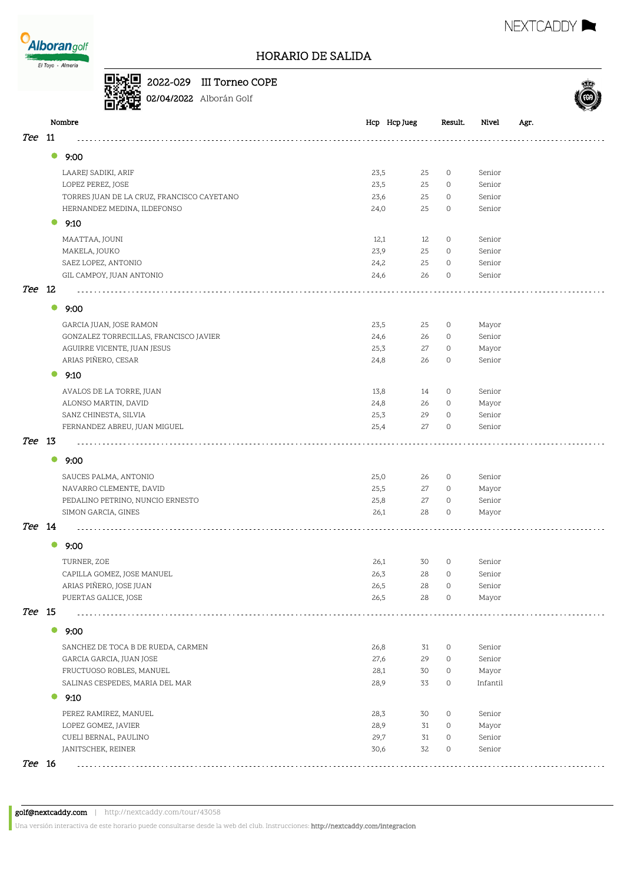

#### HORARIO DE SALIDA

Nombre Hcp Hcp Jueg Result. Nivel Agr.



NEXTCADDY **NEXTCADDY** 

2022-029 III Torneo COPE 02/04/2022 Alborán Golf

| Tee 11 |           |                                                                |              |          |                     |                  |  |
|--------|-----------|----------------------------------------------------------------|--------------|----------|---------------------|------------------|--|
|        | $\bullet$ | 9:00                                                           |              |          |                     |                  |  |
|        |           | LAAREJ SADIKI, ARIF                                            | 23,5         | 25       | $\circ$             | Senior           |  |
|        |           | LOPEZ PEREZ, JOSE                                              | 23,5         | 25       | $\circ$             | Senior           |  |
|        |           | TORRES JUAN DE LA CRUZ, FRANCISCO CAYETANO                     | 23,6         | 25       | $\circ$             | Senior           |  |
|        |           | HERNANDEZ MEDINA, ILDEFONSO                                    | 24,0         | 25       | $\circ$             | Senior           |  |
|        | 0         | 9:10                                                           |              |          |                     |                  |  |
|        |           | MAATTAA, JOUNI                                                 | 12,1         | 12       | $\circ$             | Senior           |  |
|        |           | MAKELA, JOUKO                                                  | 23,9         | 25       | $\circ$             | Senior           |  |
|        |           | SAEZ LOPEZ, ANTONIO                                            | 24,2         | 25       | $\circ$             | Senior           |  |
|        |           | GIL CAMPOY, JUAN ANTONIO                                       | 24,6         | 26       | $\circ$             | Senior           |  |
| Tee 12 |           |                                                                |              |          |                     |                  |  |
|        | $\bullet$ | 9:00                                                           |              |          |                     |                  |  |
|        |           | GARCIA JUAN, JOSE RAMON                                        | 23,5         | 25       | $\circ$             | Mayor            |  |
|        |           | GONZALEZ TORRECILLAS, FRANCISCO JAVIER                         | 24,6         | 26       | 0                   | Senior           |  |
|        |           | AGUIRRE VICENTE, JUAN JESUS<br>ARIAS PIÑERO, CESAR             | 25,3         | 27       | $\circ$             | Mayor            |  |
|        |           |                                                                | 24,8         | 26       | $\circ$             | Senior           |  |
|        | $\bullet$ | 9:10                                                           |              |          |                     |                  |  |
|        |           | AVALOS DE LA TORRE, JUAN                                       | 13,8         | 14       | $\circ$             | Senior           |  |
|        |           | ALONSO MARTIN, DAVID                                           | 24,8         | 26       | 0                   | Mayor            |  |
|        |           | SANZ CHINESTA, SILVIA                                          | 25,3         | 29       | $\circ$             | Senior           |  |
|        |           | FERNANDEZ ABREU, JUAN MIGUEL                                   | 25,4         | 27       | $\circ$             | Senior           |  |
| Tee 13 |           |                                                                |              |          |                     |                  |  |
|        | $\bullet$ | 9:00                                                           |              |          |                     |                  |  |
|        |           | SAUCES PALMA, ANTONIO                                          | 25,0         | 26       | $\circ$             | Senior           |  |
|        |           | NAVARRO CLEMENTE, DAVID                                        | 25,5         | 27       | 0                   | Mayor            |  |
|        |           | PEDALINO PETRINO, NUNCIO ERNESTO                               | 25,8         | 27       | $\circ$             | Senior           |  |
|        |           | SIMON GARCIA, GINES                                            | 26,1         | 28       | $\mathsf{O}\xspace$ | Mayor            |  |
| Tee 14 |           |                                                                |              |          |                     |                  |  |
|        | $\bullet$ | 9:00                                                           |              |          |                     |                  |  |
|        |           | TURNER, ZOE                                                    | 26,1         | 30       | $\circ$             | Senior           |  |
|        |           | CAPILLA GOMEZ, JOSE MANUEL                                     | 26,3         | 28       | 0                   | Senior           |  |
|        |           | ARIAS PIÑERO, JOSE JUAN                                        | 26,5         | 28       | $\circ$             | Senior           |  |
| Tee 15 |           | PUERTAS GALICE, JOSE                                           | 26,5         | 28       | 0                   | Mayor            |  |
|        | $\bullet$ | 9:00                                                           |              |          |                     |                  |  |
|        |           |                                                                |              |          |                     |                  |  |
|        |           | SANCHEZ DE TOCA B DE RUEDA, CARMEN<br>GARCIA GARCIA, JUAN JOSE | 26,8<br>27,6 | 31<br>29 | $\circ$<br>$\circ$  | Senior<br>Senior |  |
|        |           | FRUCTUOSO ROBLES, MANUEL                                       | 28,1         | 30       | $\circ$             | Mayor            |  |
|        |           | SALINAS CESPEDES, MARIA DEL MAR                                | 28,9         | 33       | $\circ$             | Infantil         |  |
|        | $\bullet$ | 9:10                                                           |              |          |                     |                  |  |
|        |           |                                                                |              |          |                     |                  |  |
|        |           | PEREZ RAMIREZ, MANUEL                                          | 28,3         | 30       | $\circ$             | Senior           |  |
|        |           | LOPEZ GOMEZ, JAVIER<br>CUELI BERNAL, PAULINO                   | 28,9<br>29,7 | 31<br>31 | $\circ$<br>$\circ$  | Mayor<br>Senior  |  |
|        |           | JANITSCHEK, REINER                                             | 30,6         | 32       | $\circ$             | Senior           |  |
| Tee 16 |           |                                                                |              |          |                     |                  |  |
|        |           |                                                                |              |          |                     |                  |  |

Una versión interactiva de este horario puede consultarse desde la web del club. Instrucciones: http://nextcaddy.com/integracion